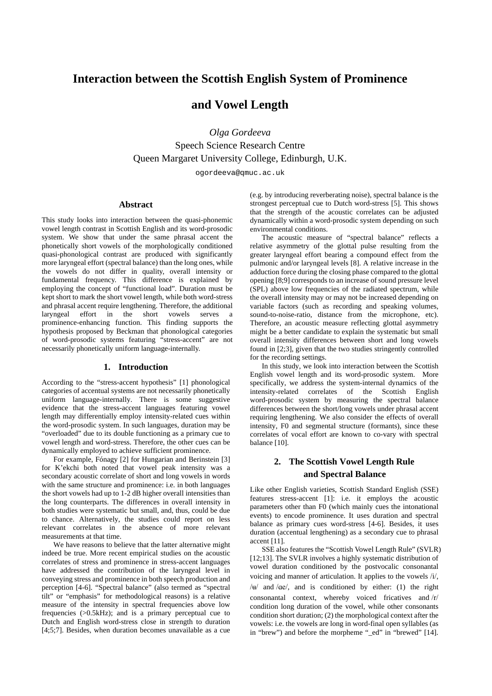# **Interaction between the Scottish English System of Prominence**

## **and Vowel Length**

*Olga Gordeeva* Speech Science Research Centre Queen Margaret University College, Edinburgh, U.K.

ogordeeva@qmuc.ac.uk

## **Abstract**

This study looks into interaction between the quasi-phonemic vowel length contrast in Scottish English and its word-prosodic system. We show that under the same phrasal accent the phonetically short vowels of the morphologically conditioned quasi-phonological contrast are produced with significantly more laryngeal effort (spectral balance) than the long ones, while the vowels do not differ in quality, overall intensity or fundamental frequency. This difference is explained by employing the concept of "functional load". Duration must be kept short to mark the short vowel length, while both word-stress and phrasal accent require lengthening. Therefore, the additional laryngeal effort in the short vowels serves a prominence-enhancing function. This finding supports the hypothesis proposed by Beckman that phonological categories of word-prosodic systems featuring "stress-accent" are not necessarily phonetically uniform language-internally.

## **1. Introduction**

According to the "stress-accent hypothesis" [1] phonological categories of accentual systems are not necessarily phonetically uniform language-internally. There is some suggestive evidence that the stress-accent languages featuring vowel length may differentially employ intensity-related cues within the word-prosodic system. In such languages, duration may be "overloaded" due to its double functioning as a primary cue to vowel length and word-stress. Therefore, the other cues can be dynamically employed to achieve sufficient prominence.

For example, Fónagy [2] for Hungarian and Berinstein [3] for K'ekchi both noted that vowel peak intensity was a secondary acoustic correlate of short and long vowels in words with the same structure and prominence: i.e. in both languages the short vowels had up to 1-2 dB higher overall intensities than the long counterparts. The differences in overall intensity in both studies were systematic but small, and, thus, could be due to chance. Alternatively, the studies could report on less relevant correlates in the absence of more relevant measurements at that time.

We have reasons to believe that the latter alternative might indeed be true. More recent empirical studies on the acoustic correlates of stress and prominence in stress-accent languages have addressed the contribution of the laryngeal level in conveying stress and prominence in both speech production and perception [4-6]. "Spectral balance" (also termed as "spectral tilt" or "emphasis" for methodological reasons) is a relative measure of the intensity in spectral frequencies above low frequencies (>0.5kHz); and is a primary perceptual cue to Dutch and English word-stress close in strength to duration [4;5;7]. Besides, when duration becomes unavailable as a cue (e.g. by introducing reverberating noise), spectral balance is the strongest perceptual cue to Dutch word-stress [5]. This shows that the strength of the acoustic correlates can be adjusted dynamically within a word-prosodic system depending on such environmental conditions.

The acoustic measure of "spectral balance" reflects a relative asymmetry of the glottal pulse resulting from the greater laryngeal effort bearing a compound effect from the pulmonic and/or laryngeal levels [8]. A relative increase in the adduction force during the closing phase compared to the glottal opening [8;9] corresponds to an increase of sound pressure level (SPL) above low frequencies of the radiated spectrum, while the overall intensity may or may not be increased depending on variable factors (such as recording and speaking volumes, sound-to-noise-ratio, distance from the microphone, etc). Therefore, an acoustic measure reflecting glottal asymmetry might be a better candidate to explain the systematic but small overall intensity differences between short and long vowels found in [2;3], given that the two studies stringently controlled for the recording settings.

In this study, we look into interaction between the Scottish English vowel length and its word-prosodic system. More specifically, we address the system-internal dynamics of the intensity-related correlates of the Scottish English word-prosodic system by measuring the spectral balance differences between the short/long vowels under phrasal accent requiring lengthening. We also consider the effects of overall intensity, F0 and segmental structure (formants), since these correlates of vocal effort are known to co-vary with spectral balance [10].

# **2. The Scottish Vowel Length Rule and Spectral Balance**

Like other English varieties, Scottish Standard English (SSE) features stress-accent [1]: i.e. it employs the acoustic parameters other than F0 (which mainly cues the intonational events) to encode prominence. It uses duration and spectral balance as primary cues word-stress [4-6]. Besides, it uses duration (accentual lengthening) as a secondary cue to phrasal accent [11].

SSE also features the "Scottish Vowel Length Rule" (SVLR) [12;13]. The SVLR involves a highly systematic distribution of vowel duration conditioned by the postvocalic consonantal voicing and manner of articulation. It applies to the vowels /i/, / $\mu$  and / $\alpha$ e/, and is conditioned by either: (1) the right consonantal context, whereby voiced fricatives and /r/ condition long duration of the vowel, while other consonants condition short duration; (2) the morphological context after the vowels: i.e. the vowels are long in word-final open syllables (as in "brew") and before the morpheme "\_ed" in "brewed" [14].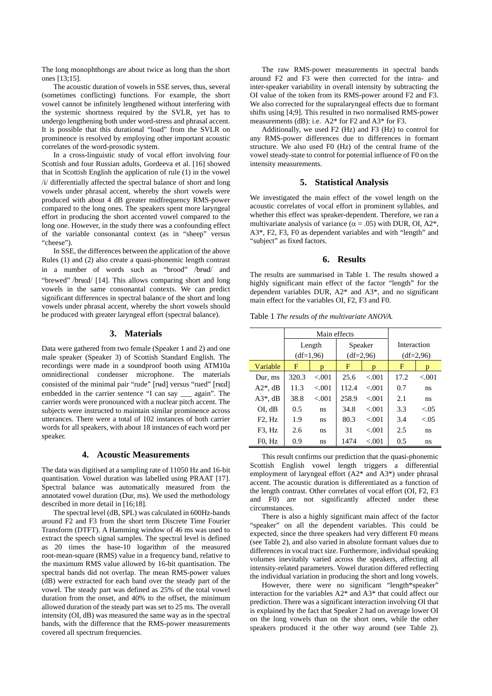The long monophthongs are about twice as long than the short ones [13;15].

The acoustic duration of vowels in SSE serves, thus, several (sometimes conflicting) functions. For example, the short vowel cannot be infinitely lengthened without interfering with the systemic shortness required by the SVLR, yet has to undergo lengthening both under word-stress and phrasal accent. It is possible that this durational "load" from the SVLR on prominence is resolved by employing other important acoustic correlates of the word-prosodic system.

In a cross-linguistic study of vocal effort involving four Scottish and four Russian adults, Gordeeva et al. [16] showed that in Scottish English the application of rule (1) in the vowel /i/ differentially affected the spectral balance of short and long vowels under phrasal accent, whereby the short vowels were produced with about 4 dB greater midfrequency RMS-power compared to the long ones. The speakers spent more laryngeal effort in producing the short accented vowel compared to the long one. However, in the study there was a confounding effect of the variable consonantal context (as in "sheep" versus "cheese").

In SSE, the differences between the application of the above Rules (1) and (2) also create a quasi-phonemic length contrast in a number of words such as "brood" /brud/ and "brewed" /bru:d/ [14]. This allows comparing short and long vowels in the same consonantal contexts. We can predict significant differences in spectral balance of the short and long vowels under phrasal accent, whereby the short vowels should be produced with greater laryngeal effort (spectral balance).

## **3. Materials**

Data were gathered from two female (Speaker 1 and 2) and one male speaker (Speaker 3) of Scottish Standard English. The recordings were made in a soundproof booth using ATM10a omnidirectional condenser microphone. The materials consisted of the minimal pair "rude" [rtd] versus "rued" [rtd] embedded in the carrier sentence "I can say \_\_\_ again". The carrier words were pronounced with a nuclear pitch accent. The subjects were instructed to maintain similar prominence across utterances. There were a total of 102 instances of both carrier words for all speakers, with about 18 instances of each word per speaker.

#### **4. Acoustic Measurements**

The data was digitised at a sampling rate of 11050 Hz and 16-bit quantisation. Vowel duration was labelled using PRAAT [17]. Spectral balance was automatically measured from the annotated vowel duration (Dur, ms). We used the methodology described in more detail in [16;18].

The spectral level (dB, SPL) was calculated in 600Hz-bands around F2 and F3 from the short term Discrete Time Fourier Transform (DTFT). A Hamming window of 46 ms was used to extract the speech signal samples. The spectral level is defined as 20 times the base-10 logarithm of the measured root-mean-square (RMS) value in a frequency band, relative to the maximum RMS value allowed by 16-bit quantisation. The spectral bands did not overlap. The mean RMS-power values (dB) were extracted for each band over the steady part of the vowel. The steady part was defined as 25% of the total vowel duration from the onset, and 40% to the offset, the minimum allowed duration of the steady part was set to 25 ms. The overall intensity (OI, dB) was measured the same way as in the spectral bands, with the difference that the RMS-power measurements covered all spectrum frequencies.

The raw RMS-power measurements in spectral bands around F2 and F3 were then corrected for the intra- and inter-speaker variability in overall intensity by subtracting the OI value of the token from its RMS-power around F2 and F3. We also corrected for the supralaryngeal effects due to formant shifts using [4;9]. This resulted in two normalised RMS-power measurements (dB): i.e. A2\* for F2 and A3\* for F3.

Additionally, we used F2 (Hz) and F3 (Hz) to control for any RMS-power differences due to differences in formant structure. We also used F0 (Hz) of the central frame of the vowel steady-state to control for potential influence of F0 on the intensity measurements.

#### **5. Statistical Analysis**

We investigated the main effect of the vowel length on the acoustic correlates of vocal effort in prominent syllables, and whether this effect was speaker-dependent. Therefore, we ran a multivariate analysis of variance ( $\alpha$  = .05) with DUR, OI, A2<sup>\*</sup>, A3\*, F2, F3, F0 as dependent variables and with "length" and "subject" as fixed factors.

## **6. Results**

The results are summarised in Table 1. The results showed a highly significant main effect of the factor "length" for the dependent variables DUR, A2\* and A3\*, and no significant main effect for the variables OI, F2, F3 and F0.

Table 1 *The results of the multivariate ANOVA.*

|                                 |             | Main effects |             |         |             |        |
|---------------------------------|-------------|--------------|-------------|---------|-------------|--------|
|                                 | Length      |              | Speaker     |         | Interaction |        |
|                                 | $(df=1,96)$ |              | $(df=2.96)$ |         | $(df=2.96)$ |        |
| Variable                        | F           | D            | F           | D       | F           | D      |
| Dur, ms                         | 320.3       | < 0.01       | 25.6        | < 0.01  | 17.2        | < 0.01 |
| $A2^*$ , dB                     | 11.3        | < 0.01       | 112.4       | < 0.01  | 0.7         | ns     |
| $A3^*$ , dB                     | 38.8        | < 0.001      | 258.9       | < 001   | 2.1         | ns     |
| OI. dB                          | 0.5         | ns           | 34.8        | < 0.01  | 3.3         | < 0.05 |
| F <sub>2</sub> , H <sub>z</sub> | 1.9         | ns           | 80.3        | < 001   | 3.4         | < 0.05 |
| F <sub>3</sub> , H <sub>z</sub> | 2.6         | ns           | 31          | < 0.01  | 2.5         | ns     |
| $F0$ , $Hz$                     | 0.9         | ns           | 1474        | < 0.001 | 0.5         | ns     |

This result confirms our prediction that the quasi-phonemic Scottish English vowel length triggers a differential employment of laryngeal effort (A2\* and A3\*) under phrasal accent. The acoustic duration is differentiated as a function of the length contrast. Other correlates of vocal effort (OI, F2, F3 and F0) are not significantly affected under these circumstances.

There is also a highly significant main affect of the factor "speaker" on all the dependent variables. This could be expected, since the three speakers had very different F0 means (see Table 2), and also varied in absolute formant values due to differences in vocal tract size. Furthermore, individual speaking volumes inevitably varied across the speakers, affecting all intensity-related parameters. Vowel duration differed reflecting the individual variation in producing the short and long vowels.

However, there were no significant "length\*speaker" interaction for the variables A2\* and A3\* that could affect our prediction. There was a significant interaction involving OI that is explained by the fact that Speaker 2 had on average lower OI on the long vowels than on the short ones, while the other speakers produced it the other way around (see Table 2).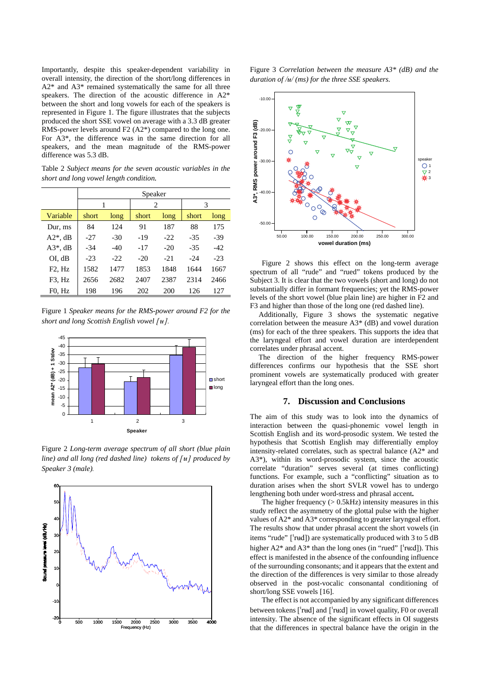Importantly, despite this speaker-dependent variability in overall intensity, the direction of the short/long differences in A2\* and A3\* remained systematically the same for all three speakers. The direction of the acoustic difference in A2\* between the short and long vowels for each of the speakers is represented in Figure 1. The figure illustrates that the subjects produced the short SSE vowel on average with a 3.3 dB greater RMS-power levels around F2 (A2\*) compared to the long one. For A3\*, the difference was in the same direction for all speakers, and the mean magnitude of the RMS-power difference was 5.3 dB.

Table 2 *Subject means for the seven acoustic variables in the short and long vowel length condition.*

|                                 | Speaker |       |       |       |       |       |  |  |  |
|---------------------------------|---------|-------|-------|-------|-------|-------|--|--|--|
|                                 | 1       |       | 2     |       | 3     |       |  |  |  |
| Variable                        | short   | long  | short | long  | short | long  |  |  |  |
| Dur, ms                         | 84      | 124   | 91    | 187   | 88    | 175   |  |  |  |
| $A2^*$ , dB                     | $-27$   | $-30$ | -19   | $-22$ | $-35$ | $-39$ |  |  |  |
| $A3^*$ , dB                     | $-34$   | $-40$ | $-17$ | $-20$ | $-35$ | $-42$ |  |  |  |
| OI, dB                          | $-23$   | $-22$ | $-20$ | $-21$ | $-24$ | $-23$ |  |  |  |
| F2, Hz                          | 1582    | 1477  | 1853  | 1848  | 1644  | 1667  |  |  |  |
| F <sub>3</sub> , H <sub>z</sub> | 2656    | 2682  | 2407  | 2387  | 2314  | 2466  |  |  |  |
| F0, Hz                          | 198     | 196   | 202   | 200   | 126   | 127   |  |  |  |

Figure 1 *Speaker means for the RMS-power around F2 for the short and long Scottish English vowel*  $\lceil H \rceil$ .



Figure 2 *Long-term average spectrum of all short (blue plain line)* and all long (red dashed line) tokens of  $\lceil H \rceil$  produced by *Speaker 3 (male).*



Figure 3 *Correlation between the measure A3\* (dB) and the duration of /* $\frac{1}{4}$  *(ms) for the three SSE speakers.* 



Figure 2 shows this effect on the long-term average spectrum of all "rude" and "rued" tokens produced by the Subject 3. It is clear that the two vowels (short and long) do not substantially differ in formant frequencies; yet the RMS-power levels of the short vowel (blue plain line) are higher in F2 and F3 and higher than those of the long one (red dashed line).

Additionally, Figure 3 shows the systematic negative correlation between the measure A3\* (dB) and vowel duration (ms) for each of the three speakers. This supports the idea that the laryngeal effort and vowel duration are interdependent correlates under phrasal accent.

The direction of the higher frequency RMS-power differences confirms our hypothesis that the SSE short prominent vowels are systematically produced with greater laryngeal effort than the long ones.

## **7. Discussion and Conclusions**

The aim of this study was to look into the dynamics of interaction between the quasi-phonemic vowel length in Scottish English and its word-prosodic system. We tested the hypothesis that Scottish English may differentially employ intensity-related correlates, such as spectral balance (A2\* and A3\*), within its word-prosodic system, since the acoustic correlate "duration" serves several (at times conflicting) functions. For example, such a "conflicting" situation as to duration arises when the short SVLR vowel has to undergo lengthening both under word-stress and phrasal accent**.**

The higher frequency  $(> 0.5kHz)$  intensity measures in this study reflect the asymmetry of the glottal pulse with the higher values of A2\* and A3\* corresponding to greater laryngeal effort. The results show that under phrasal accent the short vowels (in items "rude"  $[$ 'rud]) are systematically produced with 3 to 5 dB higher  $A2^*$  and  $A3^*$  than the long ones (in "rued" ['ru:d]). This effect is manifested in the absence of the confounding influence of the surrounding consonants; and it appears that the extent and the direction of the differences is very similar to those already observed in the post-vocalic consonantal conditioning of short/long SSE vowels [16].

The effect is not accompanied by any significant differences between tokens  $\lceil \nceil \text{red} \rceil$  and  $\lceil \nceil \text{red} \rceil$  in vowel quality, F0 or overall intensity. The absence of the significant effects in OI suggests that the differences in spectral balance have the origin in the